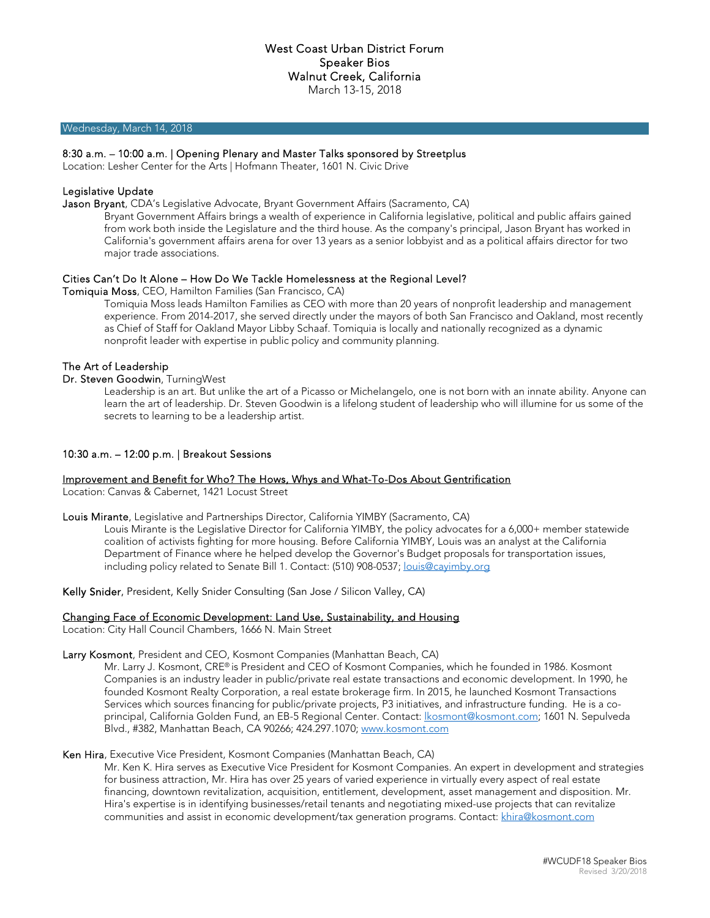#### Wednesday, March 14, 2018

## 8:30 a.m. – 10:00 a.m. | Opening Plenary and Master Talks sponsored by Streetplus

Location: Lesher Center for the Arts | Hofmann Theater, 1601 N. Civic Drive

## Legislative Update

Jason Bryant, CDA's Legislative Advocate, Bryant Government Affairs (Sacramento, CA)

Bryant Government Affairs brings a wealth of experience in California legislative, political and public affairs gained from work both inside the Legislature and the third house. As the company's principal, Jason Bryant has worked in California's government affairs arena for over 13 years as a senior lobbyist and as a political affairs director for two major trade associations.

#### Cities Can't Do It Alone – How Do We Tackle Homelessness at the Regional Level?

#### Tomiquia Moss, CEO, Hamilton Families (San Francisco, CA)

Tomiquia Moss leads Hamilton Families as CEO with more than 20 years of nonprofit leadership and management experience. From 2014-2017, she served directly under the mayors of both San Francisco and Oakland, most recently as Chief of Staff for Oakland Mayor Libby Schaaf. Tomiquia is locally and nationally recognized as a dynamic nonprofit leader with expertise in public policy and community planning.

#### The Art of Leadership

#### Dr. Steven Goodwin, TurningWest

Leadership is an art. But unlike the art of a Picasso or Michelangelo, one is not born with an innate ability. Anyone can learn the art of leadership. Dr. Steven Goodwin is a lifelong student of leadership who will illumine for us some of the secrets to learning to be a leadership artist.

#### 10:30 a.m. – 12:00 p.m. | Breakout Sessions

#### Improvement and Benefit for Who? The Hows, Whys and What-To-Dos About Gentrification

Location: Canvas & Cabernet, 1421 Locust Street

Louis Mirante, Legislative and Partnerships Director, California YIMBY (Sacramento, CA)

Louis Mirante is the Legislative Director for California YIMBY, the policy advocates for a 6,000+ member statewide coalition of activists fighting for more housing. Before California YIMBY, Louis was an analyst at the California Department of Finance where he helped develop the Governor's Budget proposals for transportation issues, including policy related to Senate Bill 1. Contact: (510) 908-0537; louis@cayimby.org

Kelly Snider, President, Kelly Snider Consulting (San Jose / Silicon Valley, CA)

#### Changing Face of Economic Development: Land Use, Sustainability, and Housing

Location: City Hall Council Chambers, 1666 N. Main Street

#### Larry Kosmont, President and CEO, Kosmont Companies (Manhattan Beach, CA)

Mr. Larry J. Kosmont, CRE® is President and CEO of Kosmont Companies, which he founded in 1986. Kosmont Companies is an industry leader in public/private real estate transactions and economic development. In 1990, he founded Kosmont Realty Corporation, a real estate brokerage firm. In 2015, he launched Kosmont Transactions Services which sources financing for public/private projects, P3 initiatives, and infrastructure funding. He is a coprincipal, California Golden Fund, an EB-5 Regional Center. Contact: lkosmont@kosmont.com; 1601 N. Sepulveda Blvd., #382, Manhattan Beach, CA 90266; 424.297.1070; www.kosmont.com

## Ken Hira, Executive Vice President, Kosmont Companies (Manhattan Beach, CA)

Mr. Ken K. Hira serves as Executive Vice President for Kosmont Companies. An expert in development and strategies for business attraction, Mr. Hira has over 25 years of varied experience in virtually every aspect of real estate financing, downtown revitalization, acquisition, entitlement, development, asset management and disposition. Mr. Hira's expertise is in identifying businesses/retail tenants and negotiating mixed-use projects that can revitalize communities and assist in economic development/tax generation programs. Contact: khira@kosmont.com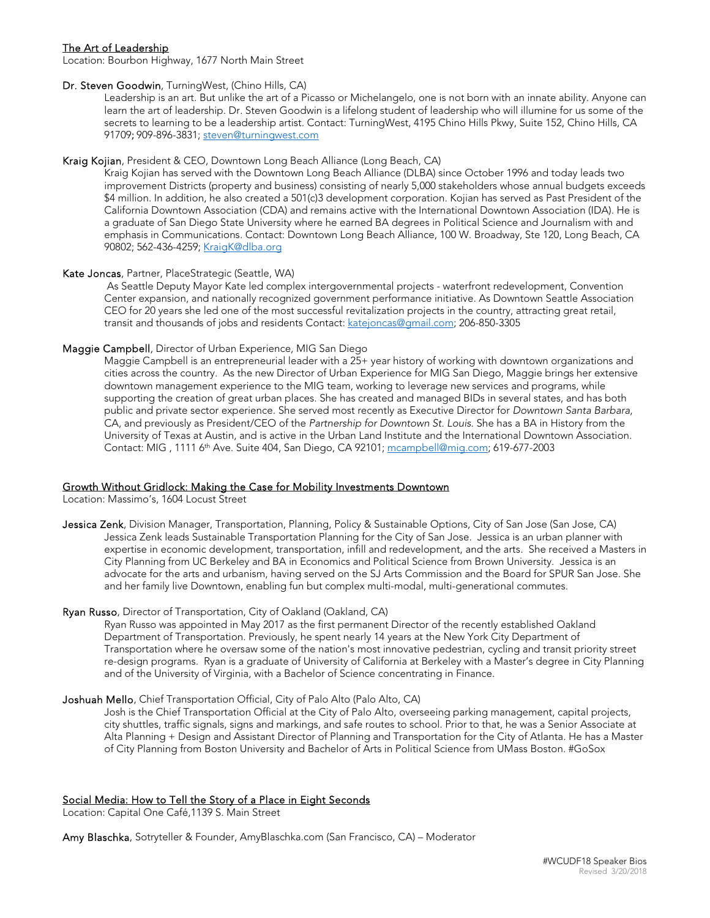# The Art of Leadership

Location: Bourbon Highway, 1677 North Main Street

## Dr. Steven Goodwin, TurningWest, (Chino Hills, CA)

Leadership is an art. But unlike the art of a Picasso or Michelangelo, one is not born with an innate ability. Anyone can learn the art of leadership. Dr. Steven Goodwin is a lifelong student of leadership who will illumine for us some of the secrets to learning to be a leadership artist. Contact: TurningWest, 4195 Chino Hills Pkwy, Suite 152, Chino Hills, CA 91709; 909-896-3831; steven@turningwest.com

# Kraig Kojian, President & CEO, Downtown Long Beach Alliance (Long Beach, CA)

.<br>Kraig Kojian has served with the Downtown Long Beach Alliance (DLBA) since October 1996 and today leads two improvement Districts (property and business) consisting of nearly 5,000 stakeholders whose annual budgets exceeds \$4 million. In addition, he also created a 501(c)3 development corporation. Kojian has served as Past President of the California Downtown Association (CDA) and remains active with the International Downtown Association (IDA). He is a graduate of San Diego State University where he earned BA degrees in Political Science and Journalism with and emphasis in Communications. Contact: Downtown Long Beach Alliance, 100 W. Broadway, Ste 120, Long Beach, CA 90802; 562-436-4259; KraigK@dlba.org

## Kate Joncas, Partner, PlaceStrategic (Seattle, WA)

 As Seattle Deputy Mayor Kate led complex intergovernmental projects - waterfront redevelopment, Convention Center expansion, and nationally recognized government performance initiative. As Downtown Seattle Association CEO for 20 years she led one of the most successful revitalization projects in the country, attracting great retail, transit and thousands of jobs and residents Contact: katejoncas@gmail.com; 206-850-3305

# Maggie Campbell, Director of Urban Experience, MIG San Diego

Maggie Campbell is an entrepreneurial leader with a 25+ year history of working with downtown organizations and cities across the country. As the new Director of Urban Experience for MIG San Diego, Maggie brings her extensive downtown management experience to the MIG team, working to leverage new services and programs, while supporting the creation of great urban places. She has created and managed BIDs in several states, and has both public and private sector experience. She served most recently as Executive Director for Downtown Santa Barbara, CA, and previously as President/CEO of the Partnership for Downtown St. Louis. She has a BA in History from the University of Texas at Austin, and is active in the Urban Land Institute and the International Downtown Association. Contact: MIG , 1111 6th Ave. Suite 404, San Diego, CA 92101; mcampbell@mig.com; 619-677-2003

## Growth Without Gridlock: Making the Case for Mobility Investments Downtown

Location: Massimo's, 1604 Locust Street

Jessica Zenk, Division Manager, Transportation, Planning, Policy & Sustainable Options, City of San Jose (San Jose, CA) Jessica Zenk leads Sustainable Transportation Planning for the City of San Jose. Jessica is an urban planner with expertise in economic development, transportation, infill and redevelopment, and the arts. She received a Masters in City Planning from UC Berkeley and BA in Economics and Political Science from Brown University. Jessica is an advocate for the arts and urbanism, having served on the SJ Arts Commission and the Board for SPUR San Jose. She and her family live Downtown, enabling fun but complex multi-modal, multi-generational commutes.

## Ryan Russo, Director of Transportation, City of Oakland (Oakland, CA)

Ryan Russo was appointed in May 2017 as the first permanent Director of the recently established Oakland Department of Transportation. Previously, he spent nearly 14 years at the New York City Department of Transportation where he oversaw some of the nation's most innovative pedestrian, cycling and transit priority street re-design programs. Ryan is a graduate of University of California at Berkeley with a Master's degree in City Planning and of the University of Virginia, with a Bachelor of Science concentrating in Finance.

## Joshuah Mello, Chief Transportation Official, City of Palo Alto (Palo Alto, CA)

Josh is the Chief Transportation Official at the City of Palo Alto, overseeing parking management, capital projects, city shuttles, traffic signals, signs and markings, and safe routes to school. Prior to that, he was a Senior Associate at Alta Planning + Design and Assistant Director of Planning and Transportation for the City of Atlanta. He has a Master of City Planning from Boston University and Bachelor of Arts in Political Science from UMass Boston. #GoSox

# Social Media: How to Tell the Story of a Place in Eight Seconds

Location: Capital One Café,1139 S. Main Street

Amy Blaschka, Sotryteller & Founder, AmyBlaschka.com (San Francisco, CA) – Moderator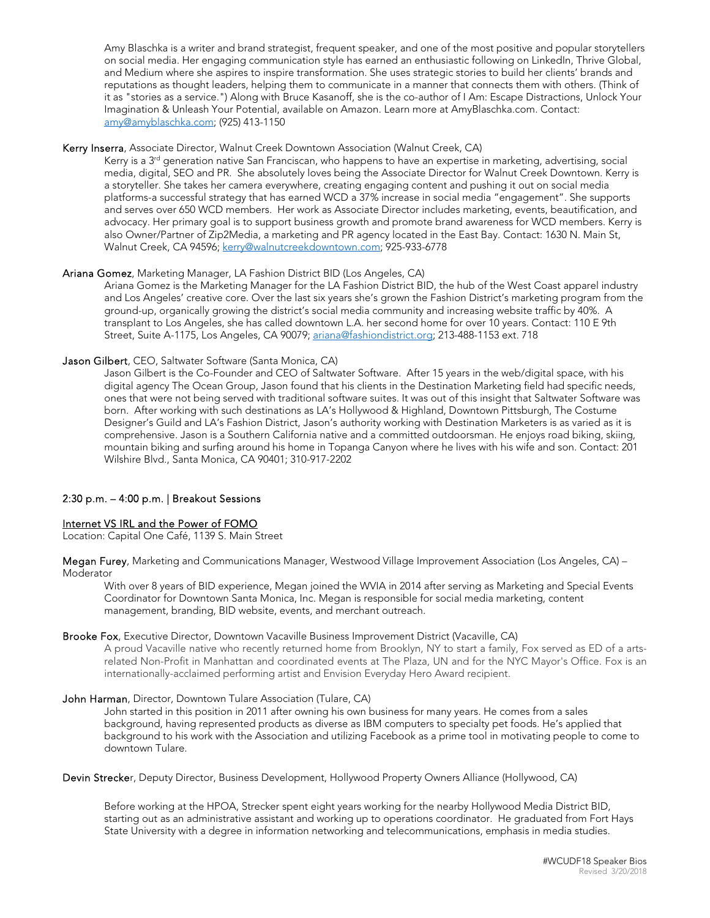Amy Blaschka is a writer and brand strategist, frequent speaker, and one of the most positive and popular storytellers on social media. Her engaging communication style has earned an enthusiastic following on LinkedIn, Thrive Global, and Medium where she aspires to inspire transformation. She uses strategic stories to build her clients' brands and reputations as thought leaders, helping them to communicate in a manner that connects them with others. (Think of it as "stories as a service.") Along with Bruce Kasanoff, she is the co-author of I Am: Escape Distractions, Unlock Your Imagination & Unleash Your Potential, available on Amazon. Learn more at AmyBlaschka.com. Contact: amy@amyblaschka.com; (925) 413-1150

# Kerry Inserra, Associate Director, Walnut Creek Downtown Association (Walnut Creek, CA)

Kerry is a 3<sup>rd</sup> generation native San Franciscan, who happens to have an expertise in marketing, advertising, social media, digital, SEO and PR. She absolutely loves being the Associate Director for Walnut Creek Downtown. Kerry is a storyteller. She takes her camera everywhere, creating engaging content and pushing it out on social media platforms-a successful strategy that has earned WCD a 37% increase in social media "engagement". She supports and serves over 650 WCD members. Her work as Associate Director includes marketing, events, beautification, and advocacy. Her primary goal is to support business growth and promote brand awareness for WCD members. Kerry is also Owner/Partner of Zip2Media, a marketing and PR agency located in the East Bay. Contact: 1630 N. Main St, Walnut Creek, CA 94596; kerry@walnutcreekdowntown.com; 925-933-6778

## Ariana Gomez, Marketing Manager, LA Fashion District BID (Los Angeles, CA)

Ariana Gomez is the Marketing Manager for the LA Fashion District BID, the hub of the West Coast apparel industry and Los Angeles' creative core. Over the last six years she's grown the Fashion District's marketing program from the ground-up, organically growing the district's social media community and increasing website traffic by 40%. A transplant to Los Angeles, she has called downtown L.A. her second home for over 10 years. Contact: 110 E 9th Street, Suite A-1175, Los Angeles, CA 90079; ariana@fashiondistrict.org; 213-488-1153 ext. 718

## Jason Gilbert, CEO, Saltwater Software (Santa Monica, CA)

Jason Gilbert is the Co-Founder and CEO of Saltwater Software. After 15 years in the web/digital space, with his digital agency The Ocean Group, Jason found that his clients in the Destination Marketing field had specific needs, ones that were not being served with traditional software suites. It was out of this insight that Saltwater Software was born. After working with such destinations as LA's Hollywood & Highland, Downtown Pittsburgh, The Costume Designer's Guild and LA's Fashion District, Jason's authority working with Destination Marketers is as varied as it is comprehensive. Jason is a Southern California native and a committed outdoorsman. He enjoys road biking, skiing, mountain biking and surfing around his home in Topanga Canyon where he lives with his wife and son. Contact: 201 Wilshire Blvd., Santa Monica, CA 90401; 310-917-2202

# 2:30 p.m. – 4:00 p.m. | Breakout Sessions

## Internet VS IRL and the Power of FOMO

Location: Capital One Café, 1139 S. Main Street

Megan Furey, Marketing and Communications Manager, Westwood Village Improvement Association (Los Angeles, CA) – Moderator

With over 8 years of BID experience, Megan joined the WVIA in 2014 after serving as Marketing and Special Events Coordinator for Downtown Santa Monica, Inc. Megan is responsible for social media marketing, content management, branding, BID website, events, and merchant outreach.

#### Brooke Fox, Executive Director, Downtown Vacaville Business Improvement District (Vacaville, CA)

A proud Vacaville native who recently returned home from Brooklyn, NY to start a family, Fox served as ED of a artsrelated Non-Profit in Manhattan and coordinated events at The Plaza, UN and for the NYC Mayor's Office. Fox is an internationally-acclaimed performing artist and Envision Everyday Hero Award recipient.

#### John Harman, Director, Downtown Tulare Association (Tulare, CA)

John started in this position in 2011 after owning his own business for many years. He comes from a sales background, having represented products as diverse as IBM computers to specialty pet foods. He's applied that background to his work with the Association and utilizing Facebook as a prime tool in motivating people to come to downtown Tulare.

## Devin Strecker, Deputy Director, Business Development, Hollywood Property Owners Alliance (Hollywood, CA)

Before working at the HPOA, Strecker spent eight years working for the nearby Hollywood Media District BID, starting out as an administrative assistant and working up to operations coordinator. He graduated from Fort Hays State University with a degree in information networking and telecommunications, emphasis in media studies.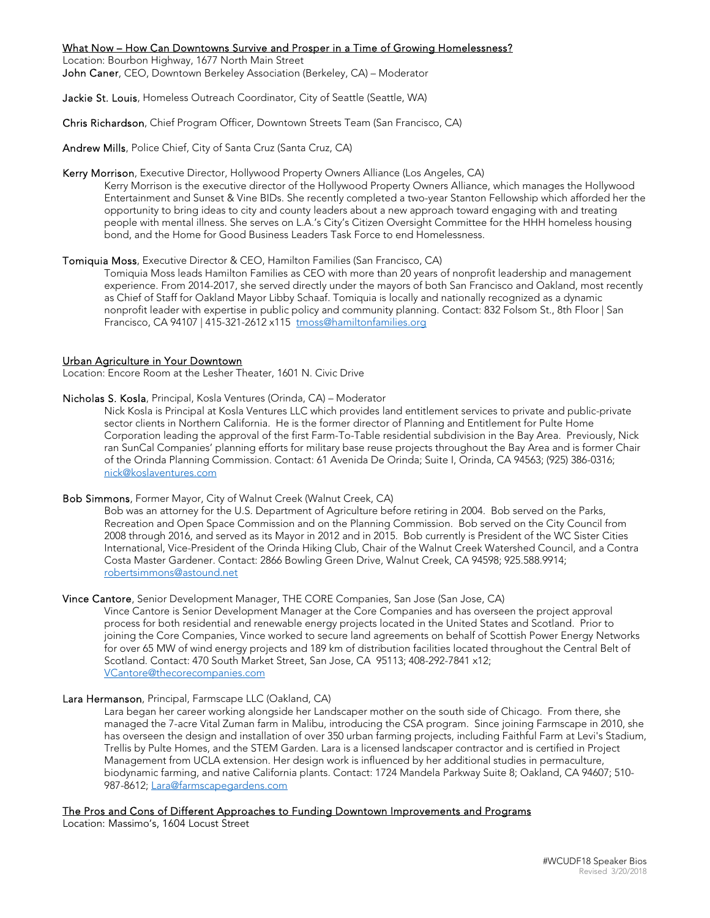## What Now – How Can Downtowns Survive and Prosper in a Time of Growing Homelessness?

Location: Bourbon Highway, 1677 North Main Street John Caner, CEO, Downtown Berkeley Association (Berkeley, CA) – Moderator

Jackie St. Louis, Homeless Outreach Coordinator, City of Seattle (Seattle, WA)

Chris Richardson, Chief Program Officer, Downtown Streets Team (San Francisco, CA)

Andrew Mills, Police Chief, City of Santa Cruz (Santa Cruz, CA)

# Kerry Morrison, Executive Director, Hollywood Property Owners Alliance (Los Angeles, CA)

Kerry Morrison is the executive director of the Hollywood Property Owners Alliance, which manages the Hollywood Entertainment and Sunset & Vine BIDs. She recently completed a two-year Stanton Fellowship which afforded her the opportunity to bring ideas to city and county leaders about a new approach toward engaging with and treating people with mental illness. She serves on L.A.'s City's Citizen Oversight Committee for the HHH homeless housing bond, and the Home for Good Business Leaders Task Force to end Homelessness.

## Tomiquia Moss, Executive Director & CEO, Hamilton Families (San Francisco, CA)

Tomiquia Moss leads Hamilton Families as CEO with more than 20 years of nonprofit leadership and management experience. From 2014-2017, she served directly under the mayors of both San Francisco and Oakland, most recently as Chief of Staff for Oakland Mayor Libby Schaaf. Tomiquia is locally and nationally recognized as a dynamic nonprofit leader with expertise in public policy and community planning. Contact: 832 Folsom St., 8th Floor | San Francisco, CA 94107 | 415-321-2612 x115 tmoss@hamiltonfamilies.org

## Urban Agriculture in Your Downtown

Location: Encore Room at the Lesher Theater, 1601 N. Civic Drive

Nicholas S. Kosla, Principal, Kosla Ventures (Orinda, CA) – Moderator

Nick Kosla is Principal at Kosla Ventures LLC which provides land entitlement services to private and public-private sector clients in Northern California. He is the former director of Planning and Entitlement for Pulte Home Corporation leading the approval of the first Farm-To-Table residential subdivision in the Bay Area. Previously, Nick ran SunCal Companies' planning efforts for military base reuse projects throughout the Bay Area and is former Chair of the Orinda Planning Commission. Contact: 61 Avenida De Orinda; Suite I, Orinda, CA 94563; (925) 386-0316; nick@koslaventures.com

## Bob Simmons, Former Mayor, City of Walnut Creek (Walnut Creek, CA)

Bob was an attorney for the U.S. Department of Agriculture before retiring in 2004. Bob served on the Parks, Recreation and Open Space Commission and on the Planning Commission. Bob served on the City Council from 2008 through 2016, and served as its Mayor in 2012 and in 2015. Bob currently is President of the WC Sister Cities International, Vice-President of the Orinda Hiking Club, Chair of the Walnut Creek Watershed Council, and a Contra Costa Master Gardener. Contact: 2866 Bowling Green Drive, Walnut Creek, CA 94598; 925.588.9914; robertsimmons@astound.net

# Vince Cantore, Senior Development Manager, THE CORE Companies, San Jose (San Jose, CA)

Vince Cantore is Senior Development Manager at the Core Companies and has overseen the project approval process for both residential and renewable energy projects located in the United States and Scotland. Prior to joining the Core Companies, Vince worked to secure land agreements on behalf of Scottish Power Energy Networks for over 65 MW of wind energy projects and 189 km of distribution facilities located throughout the Central Belt of Scotland. Contact: 470 South Market Street, San Jose, CA 95113; 408-292-7841 x12; VCantore@thecorecompanies.com

## Lara Hermanson, Principal, Farmscape LLC (Oakland, CA)

Lara began her career working alongside her Landscaper mother on the south side of Chicago. From there, she managed the 7-acre Vital Zuman farm in Malibu, introducing the CSA program. Since joining Farmscape in 2010, she has overseen the design and installation of over 350 urban farming projects, including Faithful Farm at Levi's Stadium, Trellis by Pulte Homes, and the STEM Garden. Lara is a licensed landscaper contractor and is certified in Project Management from UCLA extension. Her design work is influenced by her additional studies in permaculture, biodynamic farming, and native California plants. Contact: 1724 Mandela Parkway Suite 8; Oakland, CA 94607; 510- 987-8612; Lara@farmscapegardens.com

## The Pros and Cons of Different Approaches to Funding Downtown Improvements and Programs

Location: Massimo's, 1604 Locust Street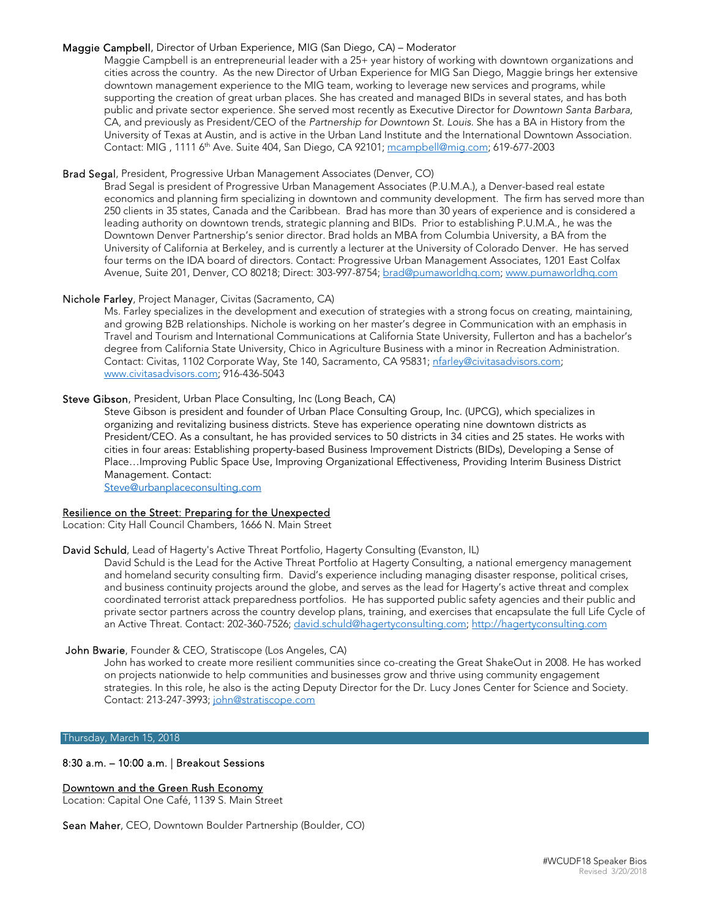## Maggie Campbell, Director of Urban Experience, MIG (San Diego, CA) – Moderator

Maggie Campbell is an entrepreneurial leader with a 25+ year history of working with downtown organizations and cities across the country. As the new Director of Urban Experience for MIG San Diego, Maggie brings her extensive downtown management experience to the MIG team, working to leverage new services and programs, while supporting the creation of great urban places. She has created and managed BIDs in several states, and has both public and private sector experience. She served most recently as Executive Director for Downtown Santa Barbara, CA, and previously as President/CEO of the Partnership for Downtown St. Louis. She has a BA in History from the University of Texas at Austin, and is active in the Urban Land Institute and the International Downtown Association. Contact: MIG , 1111 6th Ave. Suite 404, San Diego, CA 92101; mcampbell@mig.com; 619-677-2003

## Brad Segal, President, Progressive Urban Management Associates (Denver, CO)

Brad Segal is president of Progressive Urban Management Associates (P.U.M.A.), a Denver-based real estate economics and planning firm specializing in downtown and community development. The firm has served more than 250 clients in 35 states, Canada and the Caribbean. Brad has more than 30 years of experience and is considered a leading authority on downtown trends, strategic planning and BIDs. Prior to establishing P.U.M.A., he was the Downtown Denver Partnership's senior director. Brad holds an MBA from Columbia University, a BA from the University of California at Berkeley, and is currently a lecturer at the University of Colorado Denver. He has served four terms on the IDA board of directors. Contact: Progressive Urban Management Associates, 1201 East Colfax Avenue, Suite 201, Denver, CO 80218; Direct: 303-997-8754; brad@pumaworldhq.com; www.pumaworldhq.com

## Nichole Farley, Project Manager, Civitas (Sacramento, CA)

Ms. Farley specializes in the development and execution of strategies with a strong focus on creating, maintaining, and growing B2B relationships. Nichole is working on her master's degree in Communication with an emphasis in Travel and Tourism and International Communications at California State University, Fullerton and has a bachelor's degree from California State University, Chico in Agriculture Business with a minor in Recreation Administration. Contact: Civitas, 1102 Corporate Way, Ste 140, Sacramento, CA 95831; nfarley@civitasadvisors.com; www.civitasadvisors.com; 916-436-5043

## Steve Gibson, President, Urban Place Consulting, Inc (Long Beach, CA)

Steve Gibson is president and founder of Urban Place Consulting Group, Inc. (UPCG), which specializes in organizing and revitalizing business districts. Steve has experience operating nine downtown districts as President/CEO. As a consultant, he has provided services to 50 districts in 34 cities and 25 states. He works with cities in four areas: Establishing property-based Business Improvement Districts (BIDs), Developing a Sense of Place…Improving Public Space Use, Improving Organizational Effectiveness, Providing Interim Business District Management. Contact:

Steve@urbanplaceconsulting.com

## Resilience on the Street: Preparing for the Unexpected

Location: City Hall Council Chambers, 1666 N. Main Street

## David Schuld, Lead of Hagerty's Active Threat Portfolio, Hagerty Consulting (Evanston, IL)

David Schuld is the Lead for the Active Threat Portfolio at Hagerty Consulting, a national emergency management and homeland security consulting firm. David's experience including managing disaster response, political crises, and business continuity projects around the globe, and serves as the lead for Hagerty's active threat and complex coordinated terrorist attack preparedness portfolios. He has supported public safety agencies and their public and private sector partners across the country develop plans, training, and exercises that encapsulate the full Life Cycle of an Active Threat. Contact: 202-360-7526; david.schuld@hagertyconsulting.com; http://hagertyconsulting.com

# John Bwarie, Founder & CEO, Stratiscope (Los Angeles, CA)

John has worked to create more resilient communities since co-creating the Great ShakeOut in 2008. He has worked on projects nationwide to help communities and businesses grow and thrive using community engagement strategies. In this role, he also is the acting Deputy Director for the Dr. Lucy Jones Center for Science and Society. Contact: 213-247-3993; john@stratiscope.com

#### Thursday, March 15, 2018

# 8:30 a.m. – 10:00 a.m. | Breakout Sessions

# Downtown and the Green Rush Economy

Location: Capital One Café, 1139 S. Main Street

Sean Maher, CEO, Downtown Boulder Partnership (Boulder, CO)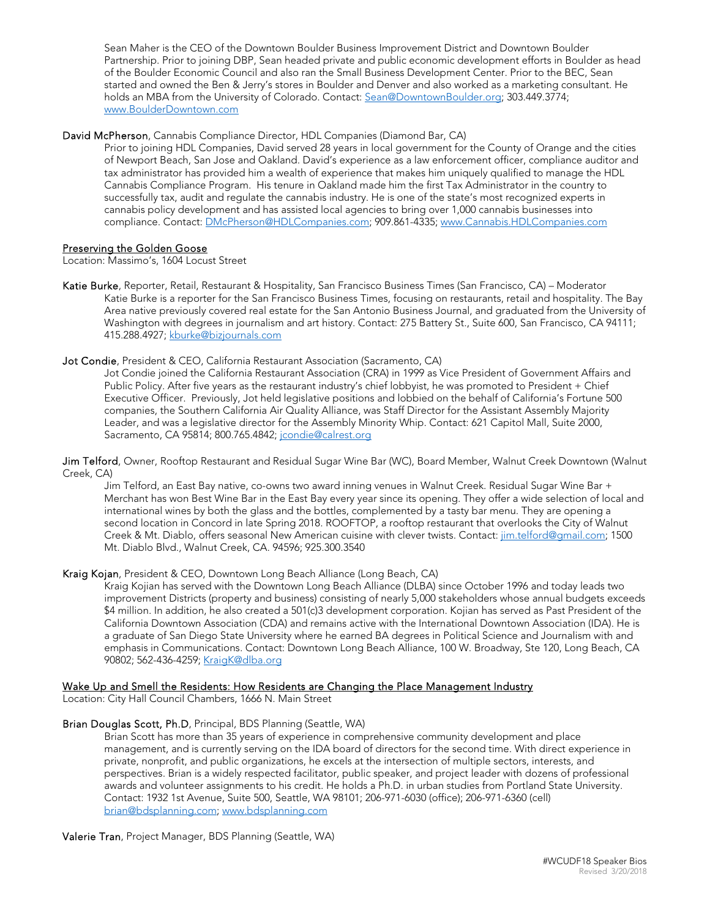Sean Maher is the CEO of the Downtown Boulder Business Improvement District and Downtown Boulder Partnership. Prior to joining DBP, Sean headed private and public economic development efforts in Boulder as head of the Boulder Economic Council and also ran the Small Business Development Center. Prior to the BEC, Sean started and owned the Ben & Jerry's stores in Boulder and Denver and also worked as a marketing consultant. He holds an MBA from the University of Colorado. Contact: Sean@DowntownBoulder.org; 303.449.3774; www.BoulderDowntown.com

# David McPherson, Cannabis Compliance Director, HDL Companies (Diamond Bar, CA)

Prior to joining HDL Companies, David served 28 years in local government for the County of Orange and the cities of Newport Beach, San Jose and Oakland. David's experience as a law enforcement officer, compliance auditor and tax administrator has provided him a wealth of experience that makes him uniquely qualified to manage the HDL Cannabis Compliance Program. His tenure in Oakland made him the first Tax Administrator in the country to successfully tax, audit and regulate the cannabis industry. He is one of the state's most recognized experts in cannabis policy development and has assisted local agencies to bring over 1,000 cannabis businesses into compliance. Contact: DMcPherson@HDLCompanies.com; 909.861-4335; www.Cannabis.HDLCompanies.com

## Preserving the Golden Goose

Location: Massimo's, 1604 Locust Street

Katie Burke, Reporter, Retail, Restaurant & Hospitality, San Francisco Business Times (San Francisco, CA) – Moderator Katie Burke is a reporter for the San Francisco Business Times, focusing on restaurants, retail and hospitality. The Bay Area native previously covered real estate for the San Antonio Business Journal, and graduated from the University of Washington with degrees in journalism and art history. Contact: 275 Battery St., Suite 600, San Francisco, CA 94111; 415.288.4927; kburke@bizjournals.com

## Jot Condie, President & CEO, California Restaurant Association (Sacramento, CA)

Jot Condie joined the California Restaurant Association (CRA) in 1999 as Vice President of Government Affairs and Public Policy. After five years as the restaurant industry's chief lobbyist, he was promoted to President + Chief Executive Officer. Previously, Jot held legislative positions and lobbied on the behalf of California's Fortune 500 companies, the Southern California Air Quality Alliance, was Staff Director for the Assistant Assembly Majority Leader, and was a legislative director for the Assembly Minority Whip. Contact: 621 Capitol Mall, Suite 2000, Sacramento, CA 95814; 800.765.4842; jcondie@calrest.org

Jim Telford, Owner, Rooftop Restaurant and Residual Sugar Wine Bar (WC), Board Member, Walnut Creek Downtown (Walnut Creek, CA)

Jim Telford, an East Bay native, co-owns two award inning venues in Walnut Creek. Residual Sugar Wine Bar + Merchant has won Best Wine Bar in the East Bay every year since its opening. They offer a wide selection of local and international wines by both the glass and the bottles, complemented by a tasty bar menu. They are opening a second location in Concord in late Spring 2018. ROOFTOP, a rooftop restaurant that overlooks the City of Walnut Creek & Mt. Diablo, offers seasonal New American cuisine with clever twists. Contact: *jim.telford@gmail.com*; 1500 Mt. Diablo Blvd., Walnut Creek, CA. 94596; 925.300.3540

## Kraig Kojan, President & CEO, Downtown Long Beach Alliance (Long Beach, CA)

Kraig Kojian has served with the Downtown Long Beach Alliance (DLBA) since October 1996 and today leads two improvement Districts (property and business) consisting of nearly 5,000 stakeholders whose annual budgets exceeds \$4 million. In addition, he also created a 501(c)3 development corporation. Kojian has served as Past President of the California Downtown Association (CDA) and remains active with the International Downtown Association (IDA). He is a graduate of San Diego State University where he earned BA degrees in Political Science and Journalism with and emphasis in Communications. Contact: Downtown Long Beach Alliance, 100 W. Broadway, Ste 120, Long Beach, CA 90802; 562-436-4259; KraigK@dlba.org

## Wake Up and Smell the Residents: How Residents are Changing the Place Management Industry

Location: City Hall Council Chambers, 1666 N. Main Street

## Brian Douglas Scott, Ph.D, Principal, BDS Planning (Seattle, WA)

Brian Scott has more than 35 years of experience in comprehensive community development and place management, and is currently serving on the IDA board of directors for the second time. With direct experience in private, nonprofit, and public organizations, he excels at the intersection of multiple sectors, interests, and perspectives. Brian is a widely respected facilitator, public speaker, and project leader with dozens of professional awards and volunteer assignments to his credit. He holds a Ph.D. in urban studies from Portland State University. Contact: 1932 1st Avenue, Suite 500, Seattle, WA 98101; 206-971-6030 (office); 206-971-6360 (cell) brian@bdsplanning.com; www.bdsplanning.com

Valerie Tran, Project Manager, BDS Planning (Seattle, WA)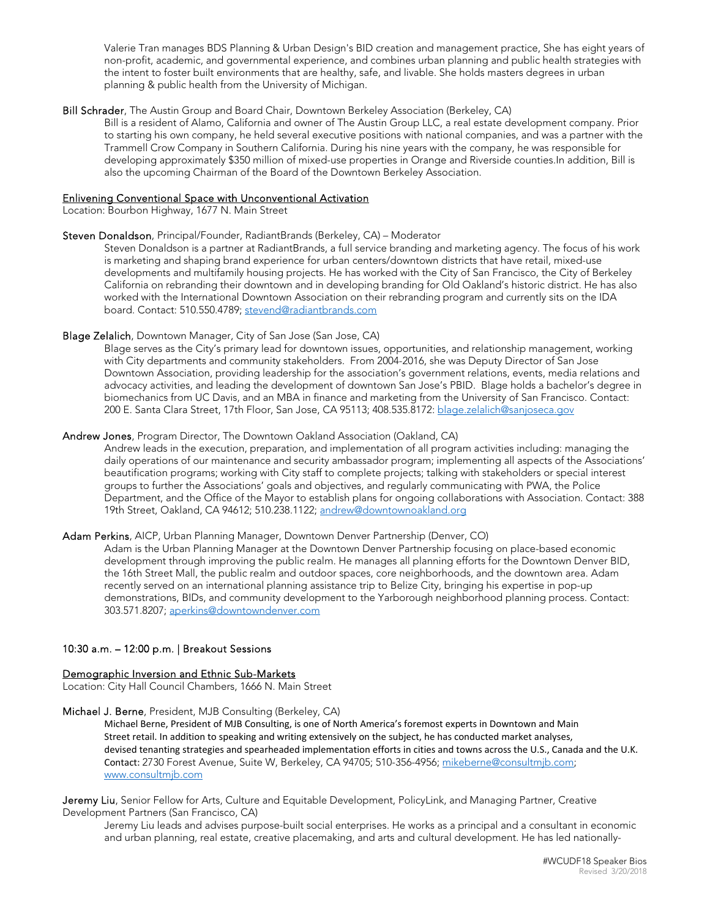Valerie Tran manages BDS Planning & Urban Design's BID creation and management practice, She has eight years of non-profit, academic, and governmental experience, and combines urban planning and public health strategies with the intent to foster built environments that are healthy, safe, and livable. She holds masters degrees in urban planning & public health from the University of Michigan.

### Bill Schrader, The Austin Group and Board Chair, Downtown Berkeley Association (Berkeley, CA)

Bill is a resident of Alamo, California and owner of The Austin Group LLC, a real estate development company. Prior to starting his own company, he held several executive positions with national companies, and was a partner with the Trammell Crow Company in Southern California. During his nine years with the company, he was responsible for developing approximately \$350 million of mixed-use properties in Orange and Riverside counties.In addition, Bill is also the upcoming Chairman of the Board of the Downtown Berkeley Association.

## Enlivening Conventional Space with Unconventional Activation

Location: Bourbon Highway, 1677 N. Main Street

#### Steven Donaldson, Principal/Founder, RadiantBrands (Berkeley, CA) – Moderator

Steven Donaldson is a partner at RadiantBrands, a full service branding and marketing agency. The focus of his work is marketing and shaping brand experience for urban centers/downtown districts that have retail, mixed-use developments and multifamily housing projects. He has worked with the City of San Francisco, the City of Berkeley California on rebranding their downtown and in developing branding for Old Oakland's historic district. He has also worked with the International Downtown Association on their rebranding program and currently sits on the IDA board. Contact: 510.550.4789; stevend@radiantbrands.com

## Blage Zelalich, Downtown Manager, City of San Jose (San Jose, CA)

Blage serves as the City's primary lead for downtown issues, opportunities, and relationship management, working with City departments and community stakeholders. From 2004-2016, she was Deputy Director of San Jose Downtown Association, providing leadership for the association's government relations, events, media relations and advocacy activities, and leading the development of downtown San Jose's PBID. Blage holds a bachelor's degree in biomechanics from UC Davis, and an MBA in finance and marketing from the University of San Francisco. Contact: 200 E. Santa Clara Street, 17th Floor, San Jose, CA 95113; 408.535.8172: blage.zelalich@sanjoseca.gov

## Andrew Jones, Program Director, The Downtown Oakland Association (Oakland, CA)

Andrew leads in the execution, preparation, and implementation of all program activities including: managing the daily operations of our maintenance and security ambassador program; implementing all aspects of the Associations' beautification programs; working with City staff to complete projects; talking with stakeholders or special interest groups to further the Associations' goals and objectives, and regularly communicating with PWA, the Police Department, and the Office of the Mayor to establish plans for ongoing collaborations with Association. Contact: 388 19th Street, Oakland, CA 94612; 510.238.1122; andrew@downtownoakland.org

# Adam Perkins, AICP, Urban Planning Manager, Downtown Denver Partnership (Denver, CO)

Adam is the Urban Planning Manager at the Downtown Denver Partnership focusing on place-based economic development through improving the public realm. He manages all planning efforts for the Downtown Denver BID, the 16th Street Mall, the public realm and outdoor spaces, core neighborhoods, and the downtown area. Adam recently served on an international planning assistance trip to Belize City, bringing his expertise in pop-up demonstrations, BIDs, and community development to the Yarborough neighborhood planning process. Contact: 303.571.8207; aperkins@downtowndenver.com

## 10:30 a.m. – 12:00 p.m. | Breakout Sessions

#### Demographic Inversion and Ethnic Sub-Markets

Location: City Hall Council Chambers, 1666 N. Main Street

## Michael J. Berne, President, MJB Consulting (Berkeley, CA)

Michael Berne, President of MJB Consulting, is one of North America's foremost experts in Downtown and Main Street retail. In addition to speaking and writing extensively on the subject, he has conducted market analyses, devised tenanting strategies and spearheaded implementation efforts in cities and towns across the U.S., Canada and the U.K. Contact: 2730 Forest Avenue, Suite W, Berkeley, CA 94705; 510-356-4956; mikeberne@consultmjb.com; www.consultmjb.com

Jeremy Liu, Senior Fellow for Arts, Culture and Equitable Development, PolicyLink, and Managing Partner, Creative Development Partners (San Francisco, CA)

Jeremy Liu leads and advises purpose-built social enterprises. He works as a principal and a consultant in economic and urban planning, real estate, creative placemaking, and arts and cultural development. He has led nationally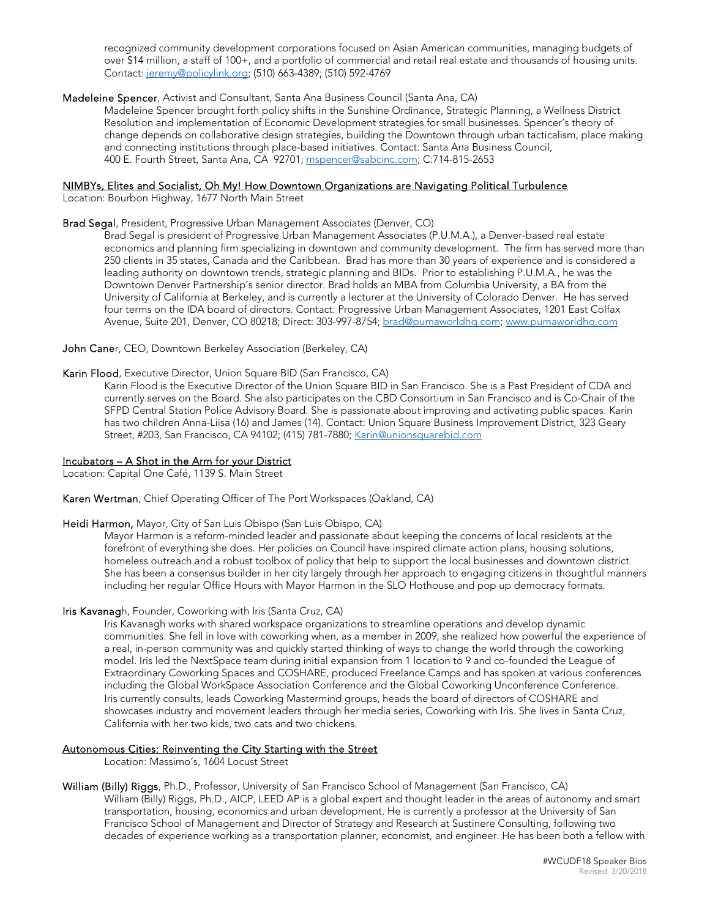recognized community development corporations focused on Asian American communities, managing budgets of over \$14 million, a staff of 100+, and a portfolio of commercial and retail real estate and thousands of housing units. Contact: jeremy@policylink.org; (510) 663-4389; (510) 592-4769

## Madeleine Spencer, Activist and Consultant, Santa Ana Business Council (Santa Ana, CA)

Madeleine Spencer brought forth policy shifts in the Sunshine Ordinance, Strategic Planning, a Wellness District Resolution and implementation of Economic Development strategies for small businesses. Spencer's theory of change depends on collaborative design strategies, building the Downtown through urban tacticalism, place making and connecting institutions through place-based initiatives. Contact: Santa Ana Business Council, 400 E. Fourth Street, Santa Ana, CA 92701; mspencer@sabcinc.com; C:714-815-2653

# NIMBYs, Elites and Socialist, Oh My! How Downtown Organizations are Navigating Political Turbulence

Location: Bourbon Highway, 1677 North Main Street

## Brad Segal, President, Progressive Urban Management Associates (Denver, CO)

Brad Segal is president of Progressive Urban Management Associates (P.U.M.A.), a Denver-based real estate economics and planning firm specializing in downtown and community development. The firm has served more than 250 clients in 35 states, Canada and the Caribbean. Brad has more than 30 years of experience and is considered a leading authority on downtown trends, strategic planning and BIDs. Prior to establishing P.U.M.A., he was the Downtown Denver Partnership's senior director. Brad holds an MBA from Columbia University, a BA from the University of California at Berkeley, and is currently a lecturer at the University of Colorado Denver. He has served four terms on the IDA board of directors. Contact: Progressive Urban Management Associates, 1201 East Colfax Avenue, Suite 201, Denver, CO 80218; Direct: 303-997-8754; brad@pumaworldhq.com; www.pumaworldhq.com

John Caner, CEO, Downtown Berkeley Association (Berkeley, CA)

## Karin Flood, Executive Director, Union Square BID (San Francisco, CA)

Karin Flood is the Executive Director of the Union Square BID in San Francisco. She is a Past President of CDA and currently serves on the Board. She also participates on the CBD Consortium in San Francisco and is Co-Chair of the SFPD Central Station Police Advisory Board. She is passionate about improving and activating public spaces. Karin has two children Anna-Liisa (16) and James (14). Contact: Union Square Business Improvement District, 323 Geary Street, #203, San Francisco, CA 94102; (415) 781-7880; Karin@unionsquarebid.com

## Incubators – A Shot in the Arm for your District

Location: Capital One Café, 1139 S. Main Street

Karen Wertman, Chief Operating Officer of The Port Workspaces (Oakland, CA)

## Heidi Harmon, Mayor, City of San Luis Obispo (San Luis Obispo, CA)

Mayor Harmon is a reform-minded leader and passionate about keeping the concerns of local residents at the forefront of everything she does. Her policies on Council have inspired climate action plans, housing solutions, homeless outreach and a robust toolbox of policy that help to support the local businesses and downtown district. She has been a consensus builder in her city largely through her approach to engaging citizens in thoughtful manners including her regular Office Hours with Mayor Harmon in the SLO Hothouse and pop up democracy formats.

## Iris Kavanagh, Founder, Coworking with Iris (Santa Cruz, CA)

Iris Kavanagh works with shared workspace organizations to streamline operations and develop dynamic communities. She fell in love with coworking when, as a member in 2009, she realized how powerful the experience of a real, in-person community was and quickly started thinking of ways to change the world through the coworking model. Iris led the NextSpace team during initial expansion from 1 location to 9 and co-founded the League of Extraordinary Coworking Spaces and COSHARE, produced Freelance Camps and has spoken at various conferences including the Global WorkSpace Association Conference and the Global Coworking Unconference Conference. Iris currently consults, leads Coworking Mastermind groups, heads the board of directors of COSHARE and showcases industry and movement leaders through her media series, Coworking with Iris. She lives in Santa Cruz, California with her two kids, two cats and two chickens.

## Autonomous Cities: Reinventing the City Starting with the Street

Location: Massimo's, 1604 Locust Street

William (Billy) Riggs, Ph.D., Professor, University of San Francisco School of Management (San Francisco, CA) William (Billy) Riggs, Ph.D., AICP, LEED AP is a global expert and thought leader in the areas of autonomy and smart transportation, housing, economics and urban development. He is currently a professor at the University of San Francisco School of Management and Director of Strategy and Research at Sustinere Consulting, following two decades of experience working as a transportation planner, economist, and engineer. He has been both a fellow with